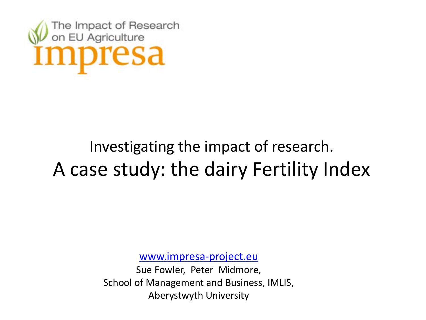

### Investigating the impact of research. A case study: the dairy Fertility Index

[www.impresa-project.eu](http://www.impresa-project.eu/)

Sue Fowler, Peter Midmore, School of Management and Business, IMLIS, Aberystwyth University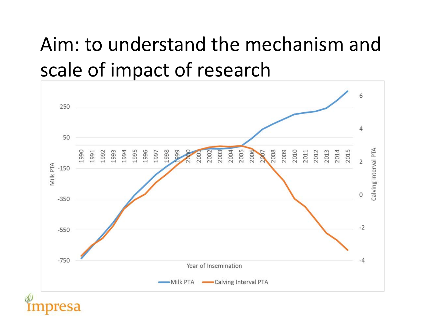### Aim: to understand the mechanism and scale of impact of research

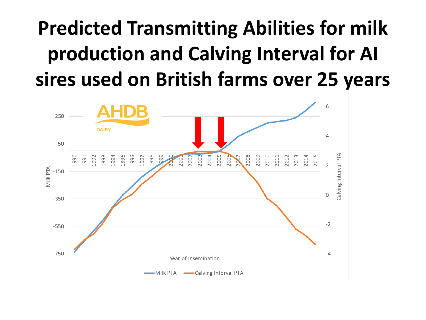### **Predicted Transmitting Abilities for milk production and Calving Interval for AI sires used on British farms over 25 years**

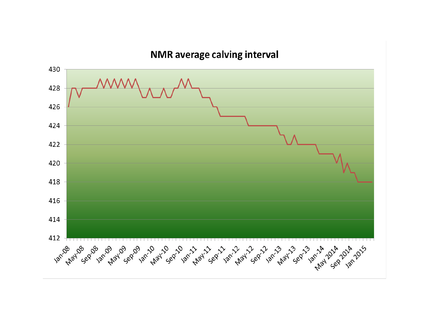#### NMR average calving interval

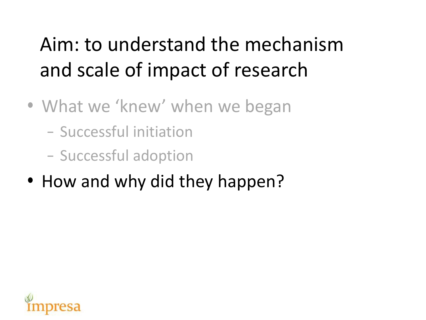### Aim: to understand the mechanism and scale of impact of research

- What we 'knew' when we began
	- Successful initiation
	- Successful adoption
- How and why did they happen?

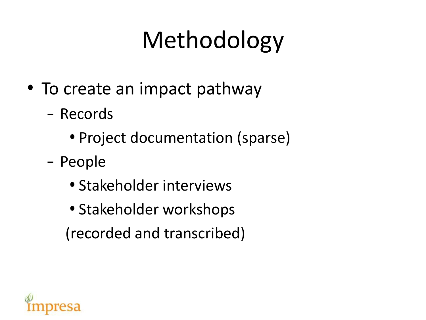# Methodology

- To create an impact pathway
	- Records
		- Project documentation (sparse)
	- People
		- Stakeholder interviews
		- Stakeholder workshops (recorded and transcribed)

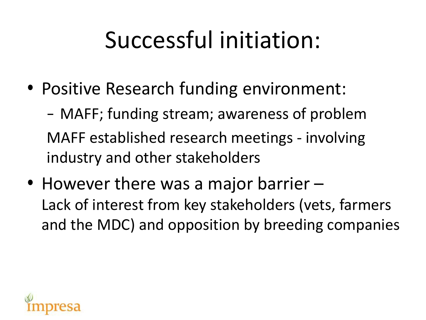# Successful initiation:

• Positive Research funding environment:

– MAFF; funding stream; awareness of problem MAFF established research meetings - involving industry and other stakeholders

• However there was a major barrier – Lack of interest from key stakeholders (vets, farmers and the MDC) and opposition by breeding companies

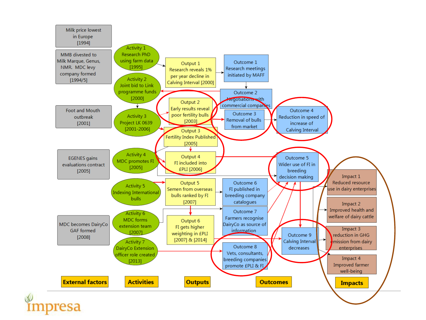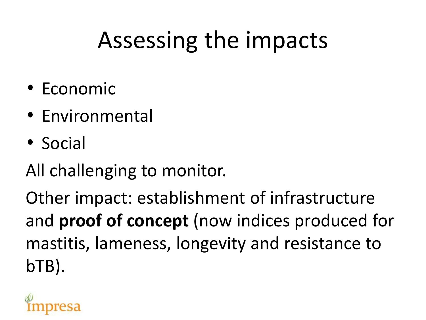# Assessing the impacts

- Economic
- Environmental
- Social

All challenging to monitor.

Other impact: establishment of infrastructure and **proof of concept** (now indices produced for mastitis, lameness, longevity and resistance to bTB).

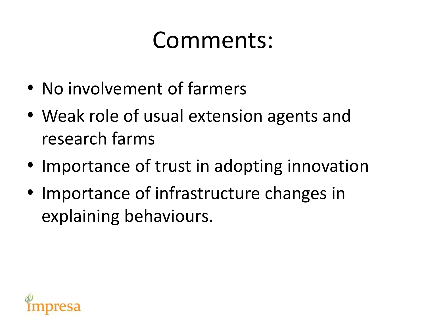### Comments:

- No involvement of farmers
- Weak role of usual extension agents and research farms
- Importance of trust in adopting innovation
- Importance of infrastructure changes in explaining behaviours.

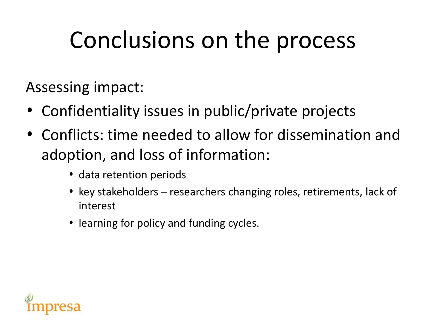## Conclusions on the process

Assessing impact:

- Confidentiality issues in public/private projects
- Conflicts: time needed to allow for dissemination and adoption, and loss of information:
	- data retention periods
	- key stakeholders researchers changing roles, retirements, lack of interest
	- learning for policy and funding cycles.

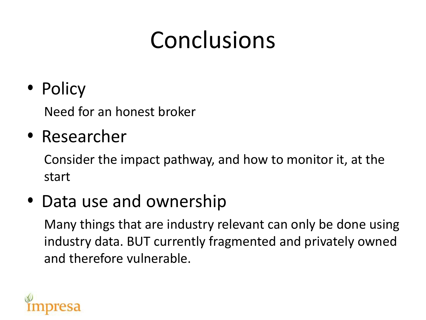# Conclusions

• Policy

Need for an honest broker

#### • Researcher

Consider the impact pathway, and how to monitor it, at the start

#### • Data use and ownership

Many things that are industry relevant can only be done using industry data. BUT currently fragmented and privately owned and therefore vulnerable.